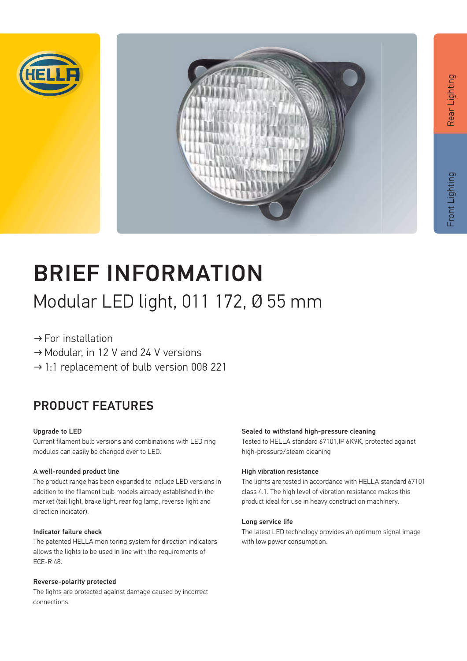



Rear Lighting

# BRIEF INFORMATION Modular LED light, 011 172, Ø 55 mm

 $\rightarrow$  For installation

- → Modular, in 12 V and 24 V versions
- $\rightarrow$  1:1 replacement of bulb version 008 221

### PRODUCT FEATURES

### Upgrade to LED

Current filament bulb versions and combinations with LED ring modules can easily be changed over to LED.

### A well-rounded product line

The product range has been expanded to include LED versions in addition to the filament bulb models already established in the market (tail light, brake light, rear fog lamp, reverse light and direction indicator).

### Indicator failure check

The patented HELLA monitoring system for direction indicators allows the lights to be used in line with the requirements of ECE-R 48.

### Reverse-polarity protected

The lights are protected against damage caused by incorrect connections.

### Sealed to withstand high-pressure cleaning

Tested to HELLA standard 67101,IP 6K9K, protected against high-pressure/steam cleaning

### High vibration resistance

The lights are tested in accordance with HELLA standard 67101 class 4.1. The high level of vibration resistance makes this product ideal for use in heavy construction machinery.

### Long service life

The latest LED technology provides an optimum signal image with low power consumption.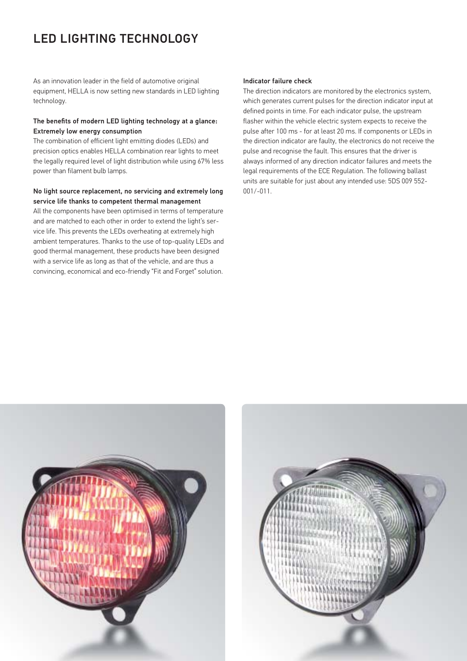### LED LIGHTING TECHNOLOGY

As an innovation leader in the field of automotive original equipment, HELLA is now setting new standards in LED lighting technology.

### The benefits of modern LED lighting technology at a glance: Extremely low energy consumption

The combination of efficient light emitting diodes (LEDs) and precision optics enables HELLA combination rear lights to meet the legally required level of light distribution while using 67% less power than filament bulb lamps.

#### No light source replacement, no servicing and extremely long service life thanks to competent thermal management

All the components have been optimised in terms of temperature and are matched to each other in order to extend the light's service life. This prevents the LEDs overheating at extremely high ambient temperatures. Thanks to the use of top-quality LEDs and good thermal management, these products have been designed with a service life as long as that of the vehicle, and are thus a convincing, economical and eco-friendly "Fit and Forget" solution.

### Indicator failure check

The direction indicators are monitored by the electronics system, which generates current pulses for the direction indicator input at defined points in time. For each indicator pulse, the upstream flasher within the vehicle electric system expects to receive the pulse after 100 ms - for at least 20 ms. If components or LEDs in the direction indicator are faulty, the electronics do not receive the pulse and recognise the fault. This ensures that the driver is always informed of any direction indicator failures and meets the legal requirements of the ECE Regulation. The following ballast units are suitable for just about any intended use: 5DS 009 552- 001/-011.



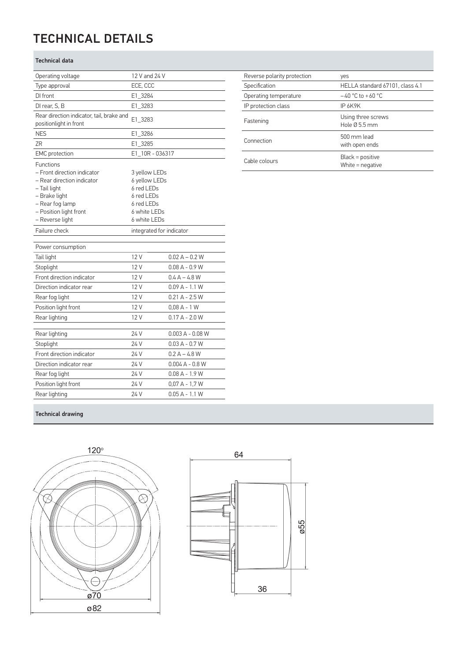## TECHNICAL DETAILS

### Technical data

| Operating voltage                                                                                                                                                       | 12 V and 24 V                                                                                            |                   |  |  |
|-------------------------------------------------------------------------------------------------------------------------------------------------------------------------|----------------------------------------------------------------------------------------------------------|-------------------|--|--|
| Type approval                                                                                                                                                           | ECE, CCC                                                                                                 |                   |  |  |
| DI front                                                                                                                                                                | E1_3284                                                                                                  |                   |  |  |
| DI rear, S, B                                                                                                                                                           | E1_3283                                                                                                  |                   |  |  |
| Rear direction indicator, tail, brake and<br>positionlight in front                                                                                                     | E1_3283                                                                                                  |                   |  |  |
| <b>NES</b>                                                                                                                                                              | E1 3286                                                                                                  |                   |  |  |
| ΖR                                                                                                                                                                      | E1_3285                                                                                                  |                   |  |  |
| <b>EMC</b> protection                                                                                                                                                   | E1_10R - 036317                                                                                          |                   |  |  |
| Functions<br>- Front direction indicator<br>– Rear direction indicator<br>- Tail light<br>- Brake light<br>- Rear fog lamp<br>- Position light front<br>- Reverse light | 3 yellow LEDs<br>6 yellow LEDs<br>6 red LEDs<br>6 red LEDs<br>6 red LEDs<br>6 white LEDs<br>6 white LEDs |                   |  |  |
| Failure check                                                                                                                                                           | integrated for indicator                                                                                 |                   |  |  |
|                                                                                                                                                                         |                                                                                                          |                   |  |  |
| Power consumption                                                                                                                                                       |                                                                                                          |                   |  |  |
| Tail light                                                                                                                                                              | 12 V                                                                                                     | $0.02 A - 0.2 W$  |  |  |
| Stoplight                                                                                                                                                               | 12 V                                                                                                     | $0.08 A - 0.9 W$  |  |  |
| Front direction indicator                                                                                                                                               | 12 V                                                                                                     | $0.4 A - 4.8 W$   |  |  |
| Direction indicator rear                                                                                                                                                | 12 V                                                                                                     | $0.09A - 1.1W$    |  |  |
| Rear fog light                                                                                                                                                          | 12 V                                                                                                     | $0.21 A - 2.5 W$  |  |  |
| Position light front                                                                                                                                                    | 12 V                                                                                                     | $0,08A - 1W$      |  |  |
| Rear lighting                                                                                                                                                           | 12 V                                                                                                     | $0.17 A - 2.0 W$  |  |  |
| Rear lighting                                                                                                                                                           | 24 V                                                                                                     | $0.003A - 0.08W$  |  |  |
| Stoplight                                                                                                                                                               | 24 V                                                                                                     | $0.03A - 0.7W$    |  |  |
| Front direction indicator                                                                                                                                               | 24 V                                                                                                     | $0.2 A - 4.8 W$   |  |  |
| Direction indicator rear                                                                                                                                                | 24 V                                                                                                     | $0.004 A - 0.8 W$ |  |  |
| Rear fog light                                                                                                                                                          | 24 V                                                                                                     | $0.08 A - 1.9 W$  |  |  |
| Position light front                                                                                                                                                    | 24 V                                                                                                     | $0,07 A - 1,7 W$  |  |  |
| Rear lighting                                                                                                                                                           | 24 V                                                                                                     | $0.05A - 1.1W$    |  |  |

| Reverse polarity protection | yes                                    |  |  |  |
|-----------------------------|----------------------------------------|--|--|--|
| Specification               | HELLA standard 67101, class 4.1        |  |  |  |
| Operating temperature       | $-40$ °C to +60 °C                     |  |  |  |
| IP protection class         | IP 6K9K                                |  |  |  |
| Fastening                   | Using three screws<br>Hole $0.55$ mm   |  |  |  |
| Connection                  | 500 mm lead<br>with open ends          |  |  |  |
| Cable colours               | $Black = positive$<br>White = negative |  |  |  |

### Technical drawing